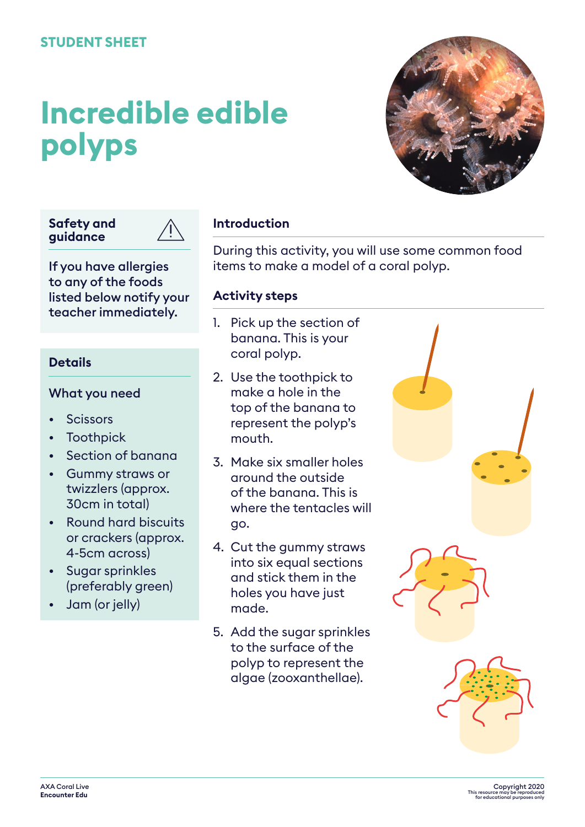# **Incredible edible polyps**

#### **Safety and guidance**



If you have allergies to any of the foods listed below notify your teacher immediately.

## **Details**

#### What you need

- Scissors
- Toothpick
- Section of banana
- Gummy straws or twizzlers (approx. 30cm in total)
- Round hard biscuits or crackers (approx. 4-5cm across)
- Sugar sprinkles (preferably green)
- Jam (or jelly)

### **Introduction**

During this activity, you will use some common food items to make a model of a coral polyp.

### **Activity steps**

- 1. Pick up the section of banana. This is your coral polyp.
- 2. Use the toothpick to make a hole in the top of the banana to represent the polyp's mouth.
- 3. Make six smaller holes around the outside of the banana. This is where the tentacles will go.
- 4. Cut the gummy straws into six equal sections and stick them in the holes you have just made.
- 5. Add the sugar sprinkles to the surface of the polyp to represent the algae (zooxanthellae).